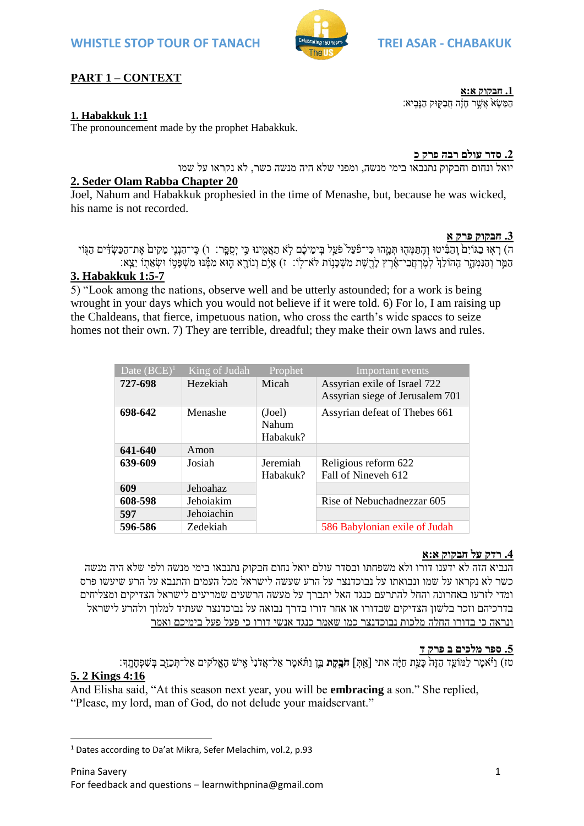

# **PART 1 – CONTEXT**

### **1. Habakkuk 1:1**

The pronouncement made by the prophet Habakkuk.

**.2 סדר עולם רבה פרק כ**

ָהַמַּשָׂאֹ אֲשֶׁר חָזָה חַבַקִּוּק הַנָּבִיא:

**.1 חבקוק א:א**

יואל ונחום וחבקוק נתנבאו בימי מנשה, ומפני שלא היה מנשה כשר, לא נקראו על שמו

### **2. Seder Olam Rabba Chapter 20**

Joel, Nahum and Habakkuk prophesied in the time of Menashe, but, because he was wicked, his name is not recorded.

**.3 חבקוק פרק א**

ה) רְאָוּ בַגּוֹיִם וֲהַבִּ֫יְטוּ וְהֶתַּמְּהִוּ תְּמֵהוּ כִּי־פֿעֲל ֹפֹּעֵל בֵימִיכֶם לָא תַאֲמְינוּ כֵּי יִסְפֵּר: ו) כֵּי־הָנְנֵי מֵקִים אֱת־הַכַּשָׂדִּים הַגְּוֹי ָהַמֵּר וְהַנִּמְהֶר הֲהוֹלֵךְ לִמְרָחֲבִי־אֶרֶץ לְרָשֶׁת מְשִׁכְּנוֹת לֹּא־לוֹ: ז) איִם וְנוֹרָא הָוּא מְמֶּנוּ מְשִׁפְּטוֹ וּשָׂאֲתוֹ יָצֵא:

## **3. Habakkuk 1:5-7**

5) "Look among the nations, observe well and be utterly astounded; for a work is being wrought in your days which you would not believe if it were told. 6) For lo, I am raising up the Chaldeans, that fierce, impetuous nation, who cross the earth's wide spaces to seize homes not their own. 7) They are terrible, dreadful; they make their own laws and rules.

| Date $(BCE)^1$ | King of Judah | Prophet                     | Important events                                                |
|----------------|---------------|-----------------------------|-----------------------------------------------------------------|
| 727-698        | Hezekiah      | Micah                       | Assyrian exile of Israel 722<br>Assyrian siege of Jerusalem 701 |
| 698-642        | Menashe       | (Joel)<br>Nahum<br>Habakuk? | Assyrian defeat of Thebes 661                                   |
| 641-640        | Amon          |                             |                                                                 |
| 639-609        | Josiah        | Jeremiah<br>Habakuk?        | Religious reform 622<br>Fall of Nineveh 612                     |
| 609            | Jehoahaz      |                             |                                                                 |
| 608-598        | Jehoiakim     |                             | Rise of Nebuchadnezzar 605                                      |
| 597            | Jehoiachin    |                             |                                                                 |
| 596-586        | Zedekiah      |                             | 586 Babylonian exile of Judah                                   |

#### **.4 רדק על חבקוק א:א**

הנביא הזה לא ידענו דורו ולא משפחתו ובסדר עולם יואל נחום חבקוק נתנבאו בימי מנשה ולפי שלא היה מנשה כשר לא נקראו על שמו ונבואתו על נבוכדנצר על הרע שעשה לישראל מכל העמים והתנבא על הרע שיעשו פרס ומדי לזרעו באחרונה והחל להתרעם כנגד האל יתברך על מעשה הרשעים שמריעים לישראל הצדיקים ומצליחים בדרכיהם וזכר בלשון הצדיקים שבדורו או אחר דורו בדרך נבואה על נבוכדנצר שעתיד למלוך ולהרע לישראל ונראה כי בדורו החלה מלכות נבוכדנצר כמו שאמר כנגד אנשי דורו כי פעל פעל בימיכם ואמר

#### **.5 ספר מלכים ב פרק ד**

טז( וַיֹֹּּ֗ אמ ר לַמֹועֵ֤ד הַז ה֙ כָׂעֵֶׁ֣ת חַיָָׂ֔ ה אתי ]אַ ּ֖תְ [ **חֹבֶ ֶ֣קֶ ת** בֵָ֑ן וַתֹֹּּ֗ אמ ר אַ ל־אֲדֹּ נ י֙ א ֶׁ֣ יש הָׂאֱֹלקים אַ ל־תְ כַזֵּ֖ב בְ ש פְ חָׂת ִֽ ָך׃

### **5. 2 Kings 4:16**

**.** 

And Elisha said, "At this season next year, you will be **embracing** a son." She replied, "Please, my lord, man of God, do not delude your maidservant."

<sup>&</sup>lt;sup>1</sup> Dates according to Da'at Mikra, Sefer Melachim, vol.2, p.93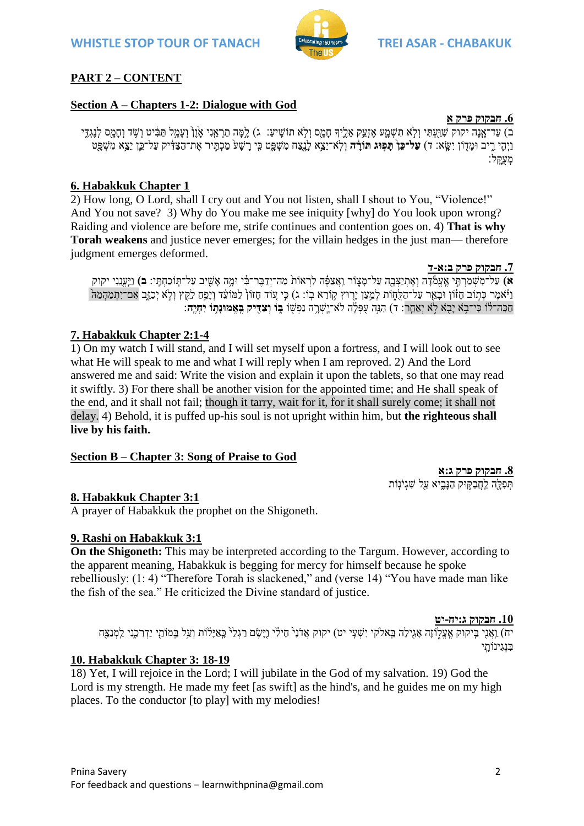

# **PART 2 – CONTENT**

## **Section A – Chapters 1-2: Dialogue with God**

**.6 חבקוק פרק א** ב) עַד־אָנָה יקוק שַׁוַּעְתִּי וְלֹא תִשְׁמֻע אֵזְעַק אֲלֵיךָ חַמֲס וְלֹא תוֹשֵׁיעַ: ג) לֵמֵּה תַרְאֵנִי אַוֵּן וְעַמֵל תַּבִּ֫יט וְשִׂד וְחַמֵּס לִנְגִדֵּי וַיְה ָ֧ י ר ִ֦ יב ּומָׂ דּ֖ ֹון י שִָֽׂ א׃ ד( **עַל־כֵּן֙ תָּ פֶ֣ ּוג תֹורָָּ֔ ה** ְו ִֽלֹּא־ֵיֵֹ֥צא ָׂל ּ֖נַצח מ ְשָָׂ֑פט ֤כי ָׂר ָׂש֙ע ַמ ְכ ֶׁ֣תיר את־ַה ַצ ָ֔דיק ַעל־ֵֶ֛כן ֵיֵֹ֥צא מ ְשָּׂ֖פט מעקל:

## **6. Habakkuk Chapter 1**

2) How long, O Lord, shall I cry out and You not listen, shall I shout to You, "Violence!" And You not save? 3) Why do You make me see iniquity [why] do You look upon wrong? Raiding and violence are before me, strife continues and contention goes on. 4) **That is why Torah weakens** and justice never emerges; for the villain hedges in the just man— therefore judgment emerges deformed.

#### **.7 חבקוק פרק ב:א-ד**

א) עַל־מְשָׁמַרְתֵּי אֱעֱמֹ֫דָה וְאֶתְיַצָּבַה עַל־מַצְוֹר וַאֲצַפֶּה לִרְאוֹת<sup>ְ</sup> מַה־יָדַבֵּר־בִּי וּמֵה אֲשִׁיב עַל־תִּוֹכָחָתֵּי: **ב**) וַיֵּעֲנֵנִי יקוק וַיֹּאמֶר כְּתִוֹּב חָזֹוֹן וּבָאֵר עַל־הַלֻּחֲוֹת לְמֵעַן יָרִוּץ קְוֹרֵא בְוֹ: ג) כִּי עוֹד חָזוֹן לַמּוֹעֵד וְיָפֵח לַקֵּץ וְלָא יְכַזֶב אִם־יִתְמַהִמַּה ָחַכֶּה־לֹוֹ כִּי־בְא יָבָא לְא יָאַחֲר: ד) הָנֵּה עַפְּלֵֹה לֹא־יֵשְׁרֵה נַפְשָׁוֹ **בְּוֹ וְצַדִּיִק בֵּאֱמוּנַתְּו** יִחָיֵה

### **7. Habakkuk Chapter 2:1-4**

1) On my watch I will stand, and I will set myself upon a fortress, and I will look out to see what He will speak to me and what I will reply when I am reproved. 2) And the Lord answered me and said: Write the vision and explain it upon the tablets, so that one may read it swiftly. 3) For there shall be another vision for the appointed time; and He shall speak of the end, and it shall not fail; though it tarry, wait for it, for it shall surely come; it shall not delay. 4) Behold, it is puffed up-his soul is not upright within him, but **the righteous shall live by his faith.**

#### **Section B – Chapter 3: Song of Praise to God**

**.8 חבקוק פרק ג:א** תִּפְלָּה לַחֲבַקִּוּק הַנַּבִיא עַל שָׁגִיֹּנִוֹת

### **8. Habakkuk Chapter 3:1**

A prayer of Habakkuk the prophet on the Shigoneth.

#### **9. Rashi on Habakkuk 3:1**

**On the Shigoneth:** This may be interpreted according to the Targum. However, according to the apparent meaning, Habakkuk is begging for mercy for himself because he spoke rebelliously: (1: 4) "Therefore Torah is slackened," and (verse 14) "You have made man like the fish of the sea." He criticized the Divine standard of justice.

**.10 חבקוק ג:יח-יט**

יח) <u>וַאֲנִי בֵּיקוק אֲעֲלֹ</u>וֹזה אגִילה בֵּאלֹקי יִשְׁעֵי יט) יקוק אֲדֹנ<sup>ֶּ</sup> חֵילִׂי וַיּשֶׂם רַגְלָ<sup>נְ</sup> כַאֲיּלֹוֹת וְעַל בִּמוֹתֵי יַדְרְכֵנִי לַמְנַצֵּח בּנגינוֹתי

#### **10. Habakkuk Chapter 3: 18-19**

18) Yet, I will rejoice in the Lord; I will jubilate in the God of my salvation. 19) God the Lord is my strength. He made my feet [as swift] as the hind's, and he guides me on my high places. To the conductor [to play] with my melodies!